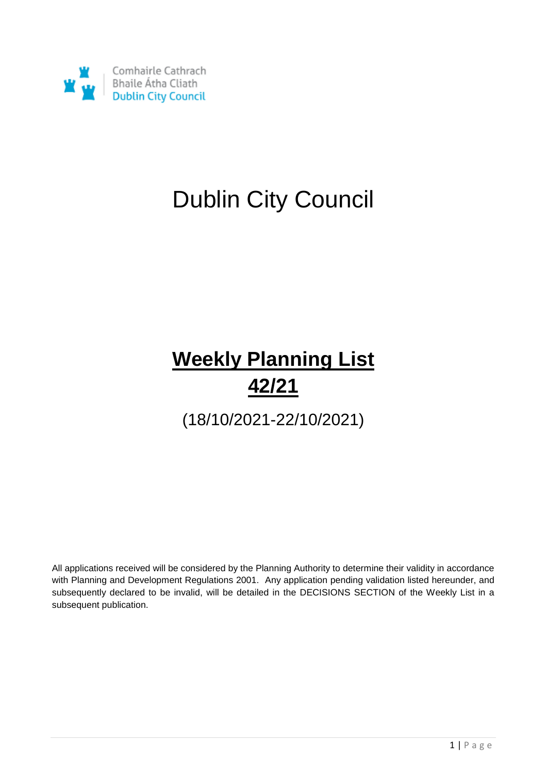

# Dublin City Council

# **Weekly Planning List 42/21**

(18/10/2021-22/10/2021)

All applications received will be considered by the Planning Authority to determine their validity in accordance with Planning and Development Regulations 2001. Any application pending validation listed hereunder, and subsequently declared to be invalid, will be detailed in the DECISIONS SECTION of the Weekly List in a subsequent publication.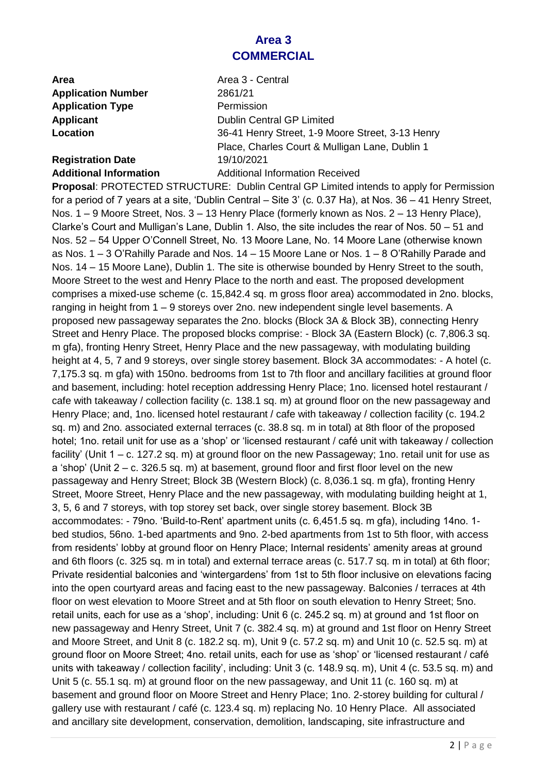# **Area 3 COMMERCIAL**

**Area** Area 3 - Central **Application Number** 2861/21 **Application Type Permission** 

# **Registration Date** 19/10/2021

**Applicant** Dublin Central GP Limited **Location** 36-41 Henry Street, 1-9 Moore Street, 3-13 Henry Place, Charles Court & Mulligan Lane, Dublin 1 **Additional Information** Additional Information Received

**Proposal**: PROTECTED STRUCTURE: Dublin Central GP Limited intends to apply for Permission for a period of 7 years at a site, 'Dublin Central – Site 3' (c. 0.37 Ha), at Nos. 36 – 41 Henry Street, Nos. 1 – 9 Moore Street, Nos. 3 – 13 Henry Place (formerly known as Nos. 2 – 13 Henry Place), Clarke's Court and Mulligan's Lane, Dublin 1. Also, the site includes the rear of Nos. 50 – 51 and Nos. 52 – 54 Upper O'Connell Street, No. 13 Moore Lane, No. 14 Moore Lane (otherwise known as Nos. 1 – 3 O'Rahilly Parade and Nos. 14 – 15 Moore Lane or Nos. 1 – 8 O'Rahilly Parade and Nos. 14 – 15 Moore Lane), Dublin 1. The site is otherwise bounded by Henry Street to the south, Moore Street to the west and Henry Place to the north and east. The proposed development comprises a mixed-use scheme (c. 15,842.4 sq. m gross floor area) accommodated in 2no. blocks, ranging in height from 1 – 9 storeys over 2no. new independent single level basements. A proposed new passageway separates the 2no. blocks (Block 3A & Block 3B), connecting Henry Street and Henry Place. The proposed blocks comprise: - Block 3A (Eastern Block) (c. 7,806.3 sq. m gfa), fronting Henry Street, Henry Place and the new passageway, with modulating building height at 4, 5, 7 and 9 storeys, over single storey basement. Block 3A accommodates: - A hotel (c. 7,175.3 sq. m gfa) with 150no. bedrooms from 1st to 7th floor and ancillary facilities at ground floor and basement, including: hotel reception addressing Henry Place; 1no. licensed hotel restaurant / cafe with takeaway / collection facility (c. 138.1 sq. m) at ground floor on the new passageway and Henry Place; and, 1no. licensed hotel restaurant / cafe with takeaway / collection facility (c. 194.2 sq. m) and 2no. associated external terraces (c. 38.8 sq. m in total) at 8th floor of the proposed hotel; 1no. retail unit for use as a 'shop' or 'licensed restaurant / café unit with takeaway / collection facility' (Unit 1 – c. 127.2 sq. m) at ground floor on the new Passageway; 1no. retail unit for use as a 'shop' (Unit 2 – c. 326.5 sq. m) at basement, ground floor and first floor level on the new passageway and Henry Street; Block 3B (Western Block) (c. 8,036.1 sq. m gfa), fronting Henry Street, Moore Street, Henry Place and the new passageway, with modulating building height at 1, 3, 5, 6 and 7 storeys, with top storey set back, over single storey basement. Block 3B accommodates: - 79no. 'Build-to-Rent' apartment units (c. 6,451.5 sq. m gfa), including 14no. 1 bed studios, 56no. 1-bed apartments and 9no. 2-bed apartments from 1st to 5th floor, with access from residents' lobby at ground floor on Henry Place; Internal residents' amenity areas at ground and 6th floors (c. 325 sq. m in total) and external terrace areas (c. 517.7 sq. m in total) at 6th floor; Private residential balconies and 'wintergardens' from 1st to 5th floor inclusive on elevations facing into the open courtyard areas and facing east to the new passageway. Balconies / terraces at 4th floor on west elevation to Moore Street and at 5th floor on south elevation to Henry Street; 5no. retail units, each for use as a 'shop', including: Unit 6 (c. 245.2 sq. m) at ground and 1st floor on new passageway and Henry Street, Unit 7 (c. 382.4 sq. m) at ground and 1st floor on Henry Street and Moore Street, and Unit 8 (c. 182.2 sq. m), Unit 9 (c. 57.2 sq. m) and Unit 10 (c. 52.5 sq. m) at ground floor on Moore Street; 4no. retail units, each for use as 'shop' or 'licensed restaurant / café units with takeaway / collection facility', including: Unit 3 (c. 148.9 sq. m), Unit 4 (c. 53.5 sq. m) and Unit 5 (c. 55.1 sq. m) at ground floor on the new passageway, and Unit 11 (c. 160 sq. m) at basement and ground floor on Moore Street and Henry Place; 1no. 2-storey building for cultural / gallery use with restaurant / café (c. 123.4 sq. m) replacing No. 10 Henry Place. All associated and ancillary site development, conservation, demolition, landscaping, site infrastructure and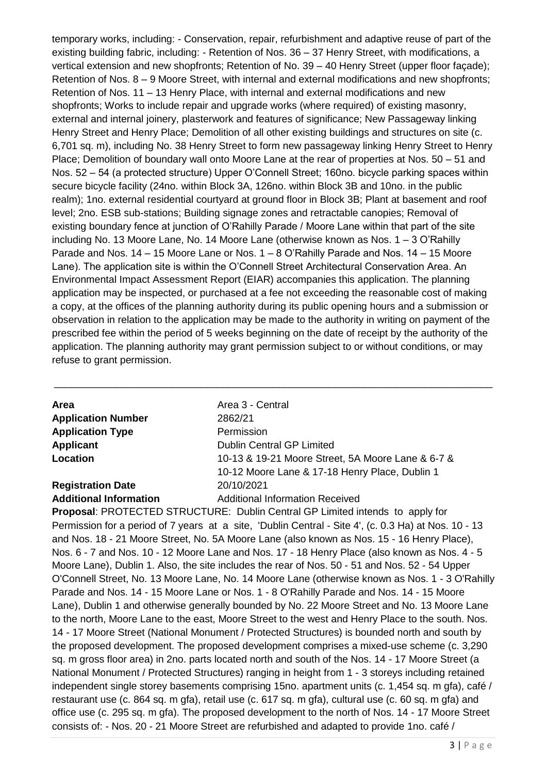temporary works, including: - Conservation, repair, refurbishment and adaptive reuse of part of the existing building fabric, including: - Retention of Nos. 36 – 37 Henry Street, with modifications, a vertical extension and new shopfronts; Retention of No. 39 – 40 Henry Street (upper floor façade); Retention of Nos. 8 – 9 Moore Street, with internal and external modifications and new shopfronts; Retention of Nos. 11 – 13 Henry Place, with internal and external modifications and new shopfronts; Works to include repair and upgrade works (where required) of existing masonry, external and internal joinery, plasterwork and features of significance; New Passageway linking Henry Street and Henry Place; Demolition of all other existing buildings and structures on site (c. 6,701 sq. m), including No. 38 Henry Street to form new passageway linking Henry Street to Henry Place; Demolition of boundary wall onto Moore Lane at the rear of properties at Nos. 50 – 51 and Nos. 52 – 54 (a protected structure) Upper O'Connell Street; 160no. bicycle parking spaces within secure bicycle facility (24no. within Block 3A, 126no. within Block 3B and 10no. in the public realm); 1no. external residential courtyard at ground floor in Block 3B; Plant at basement and roof level; 2no. ESB sub-stations; Building signage zones and retractable canopies; Removal of existing boundary fence at junction of O'Rahilly Parade / Moore Lane within that part of the site including No. 13 Moore Lane, No. 14 Moore Lane (otherwise known as Nos. 1 – 3 O'Rahilly Parade and Nos. 14 – 15 Moore Lane or Nos. 1 – 8 O'Rahilly Parade and Nos. 14 – 15 Moore Lane). The application site is within the O'Connell Street Architectural Conservation Area. An Environmental Impact Assessment Report (EIAR) accompanies this application. The planning application may be inspected, or purchased at a fee not exceeding the reasonable cost of making a copy, at the offices of the planning authority during its public opening hours and a submission or observation in relation to the application may be made to the authority in writing on payment of the prescribed fee within the period of 5 weeks beginning on the date of receipt by the authority of the application. The planning authority may grant permission subject to or without conditions, or may refuse to grant permission.

| <b>Area</b>                   | Area 3 - Central                                  |
|-------------------------------|---------------------------------------------------|
| <b>Application Number</b>     | 2862/21                                           |
| <b>Application Type</b>       | Permission                                        |
| Applicant                     | <b>Dublin Central GP Limited</b>                  |
| Location                      | 10-13 & 19-21 Moore Street, 5A Moore Lane & 6-7 & |
|                               | 10-12 Moore Lane & 17-18 Henry Place, Dublin 1    |
| <b>Registration Date</b>      | 20/10/2021                                        |
| <b>Additional Information</b> | <b>Additional Information Received</b>            |

\_\_\_\_\_\_\_\_\_\_\_\_\_\_\_\_\_\_\_\_\_\_\_\_\_\_\_\_\_\_\_\_\_\_\_\_\_\_\_\_\_\_\_\_\_\_\_\_\_\_\_\_\_\_\_\_\_\_\_\_\_\_\_\_\_\_\_\_\_\_\_\_\_\_\_\_\_\_

**Proposal**: PROTECTED STRUCTURE: Dublin Central GP Limited intends to apply for Permission for a period of 7 years at a site, 'Dublin Central - Site 4', (c. 0.3 Ha) at Nos. 10 - 13 and Nos. 18 - 21 Moore Street, No. 5A Moore Lane (also known as Nos. 15 - 16 Henry Place), Nos. 6 - 7 and Nos. 10 - 12 Moore Lane and Nos. 17 - 18 Henry Place (also known as Nos. 4 - 5 Moore Lane), Dublin 1. Also, the site includes the rear of Nos. 50 - 51 and Nos. 52 - 54 Upper O'Connell Street, No. 13 Moore Lane, No. 14 Moore Lane (otherwise known as Nos. 1 - 3 O'Rahilly Parade and Nos. 14 - 15 Moore Lane or Nos. 1 - 8 O'Rahilly Parade and Nos. 14 - 15 Moore Lane), Dublin 1 and otherwise generally bounded by No. 22 Moore Street and No. 13 Moore Lane to the north, Moore Lane to the east, Moore Street to the west and Henry Place to the south. Nos. 14 - 17 Moore Street (National Monument / Protected Structures) is bounded north and south by the proposed development. The proposed development comprises a mixed-use scheme (c. 3,290 sq. m gross floor area) in 2no. parts located north and south of the Nos. 14 - 17 Moore Street (a National Monument / Protected Structures) ranging in height from 1 - 3 storeys including retained independent single storey basements comprising 15no. apartment units (c. 1,454 sq. m gfa), café / restaurant use (c. 864 sq. m gfa), retail use (c. 617 sq. m gfa), cultural use (c. 60 sq. m gfa) and office use (c. 295 sq. m gfa). The proposed development to the north of Nos. 14 - 17 Moore Street consists of: - Nos. 20 - 21 Moore Street are refurbished and adapted to provide 1no. café /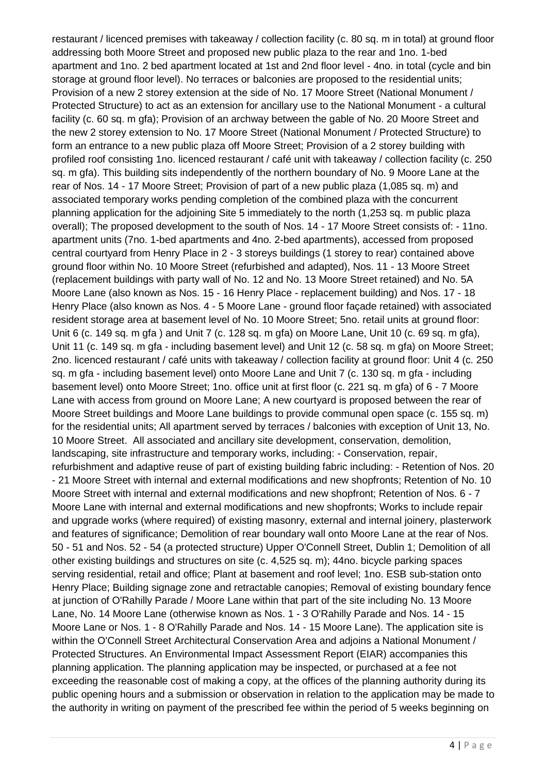restaurant / licenced premises with takeaway / collection facility (c. 80 sq. m in total) at ground floor addressing both Moore Street and proposed new public plaza to the rear and 1no. 1-bed apartment and 1no. 2 bed apartment located at 1st and 2nd floor level - 4no. in total (cycle and bin storage at ground floor level). No terraces or balconies are proposed to the residential units; Provision of a new 2 storey extension at the side of No. 17 Moore Street (National Monument / Protected Structure) to act as an extension for ancillary use to the National Monument - a cultural facility (c. 60 sq. m gfa); Provision of an archway between the gable of No. 20 Moore Street and the new 2 storey extension to No. 17 Moore Street (National Monument / Protected Structure) to form an entrance to a new public plaza off Moore Street; Provision of a 2 storey building with profiled roof consisting 1no. licenced restaurant / café unit with takeaway / collection facility (c. 250 sq. m gfa). This building sits independently of the northern boundary of No. 9 Moore Lane at the rear of Nos. 14 - 17 Moore Street; Provision of part of a new public plaza (1,085 sq. m) and associated temporary works pending completion of the combined plaza with the concurrent planning application for the adjoining Site 5 immediately to the north (1,253 sq. m public plaza overall); The proposed development to the south of Nos. 14 - 17 Moore Street consists of: - 11no. apartment units (7no. 1-bed apartments and 4no. 2-bed apartments), accessed from proposed central courtyard from Henry Place in 2 - 3 storeys buildings (1 storey to rear) contained above ground floor within No. 10 Moore Street (refurbished and adapted), Nos. 11 - 13 Moore Street (replacement buildings with party wall of No. 12 and No. 13 Moore Street retained) and No. 5A Moore Lane (also known as Nos. 15 - 16 Henry Place - replacement building) and Nos. 17 - 18 Henry Place (also known as Nos. 4 - 5 Moore Lane - ground floor façade retained) with associated resident storage area at basement level of No. 10 Moore Street; 5no. retail units at ground floor: Unit 6 (c. 149 sq. m gfa ) and Unit 7 (c. 128 sq. m gfa) on Moore Lane, Unit 10 (c. 69 sq. m gfa), Unit 11 (c. 149 sq. m gfa - including basement level) and Unit 12 (c. 58 sq. m gfa) on Moore Street; 2no. licenced restaurant / café units with takeaway / collection facility at ground floor: Unit 4 (c. 250 sq. m gfa - including basement level) onto Moore Lane and Unit 7 (c. 130 sq. m gfa - including basement level) onto Moore Street; 1no. office unit at first floor (c. 221 sq. m gfa) of 6 - 7 Moore Lane with access from ground on Moore Lane; A new courtyard is proposed between the rear of Moore Street buildings and Moore Lane buildings to provide communal open space (c. 155 sq. m) for the residential units; All apartment served by terraces / balconies with exception of Unit 13, No. 10 Moore Street. All associated and ancillary site development, conservation, demolition, landscaping, site infrastructure and temporary works, including: - Conservation, repair, refurbishment and adaptive reuse of part of existing building fabric including: - Retention of Nos. 20 - 21 Moore Street with internal and external modifications and new shopfronts; Retention of No. 10 Moore Street with internal and external modifications and new shopfront; Retention of Nos. 6 - 7 Moore Lane with internal and external modifications and new shopfronts; Works to include repair and upgrade works (where required) of existing masonry, external and internal joinery, plasterwork and features of significance; Demolition of rear boundary wall onto Moore Lane at the rear of Nos. 50 - 51 and Nos. 52 - 54 (a protected structure) Upper O'Connell Street, Dublin 1; Demolition of all other existing buildings and structures on site (c. 4,525 sq. m); 44no. bicycle parking spaces serving residential, retail and office; Plant at basement and roof level; 1no. ESB sub-station onto Henry Place; Building signage zone and retractable canopies; Removal of existing boundary fence at junction of O'Rahilly Parade / Moore Lane within that part of the site including No. 13 Moore Lane, No. 14 Moore Lane (otherwise known as Nos. 1 - 3 O'Rahilly Parade and Nos. 14 - 15 Moore Lane or Nos. 1 - 8 O'Rahilly Parade and Nos. 14 - 15 Moore Lane). The application site is within the O'Connell Street Architectural Conservation Area and adjoins a National Monument / Protected Structures. An Environmental Impact Assessment Report (EIAR) accompanies this planning application. The planning application may be inspected, or purchased at a fee not exceeding the reasonable cost of making a copy, at the offices of the planning authority during its public opening hours and a submission or observation in relation to the application may be made to the authority in writing on payment of the prescribed fee within the period of 5 weeks beginning on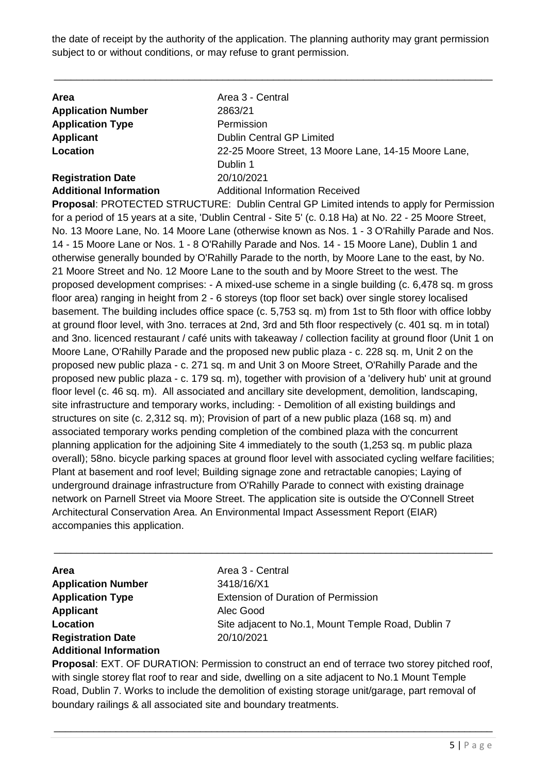the date of receipt by the authority of the application. The planning authority may grant permission subject to or without conditions, or may refuse to grant permission.

\_\_\_\_\_\_\_\_\_\_\_\_\_\_\_\_\_\_\_\_\_\_\_\_\_\_\_\_\_\_\_\_\_\_\_\_\_\_\_\_\_\_\_\_\_\_\_\_\_\_\_\_\_\_\_\_\_\_\_\_\_\_\_\_\_\_\_\_\_\_\_\_\_\_\_\_\_\_

| <b>Area</b>                   | Area 3 - Central                                     |
|-------------------------------|------------------------------------------------------|
| <b>Application Number</b>     | 2863/21                                              |
| <b>Application Type</b>       | Permission                                           |
| Applicant                     | <b>Dublin Central GP Limited</b>                     |
| Location                      | 22-25 Moore Street, 13 Moore Lane, 14-15 Moore Lane, |
|                               | Dublin 1                                             |
| <b>Registration Date</b>      | 20/10/2021                                           |
| <b>Additional Information</b> | <b>Additional Information Received</b>               |

**Proposal**: PROTECTED STRUCTURE: Dublin Central GP Limited intends to apply for Permission for a period of 15 years at a site, 'Dublin Central - Site 5' (c. 0.18 Ha) at No. 22 - 25 Moore Street, No. 13 Moore Lane, No. 14 Moore Lane (otherwise known as Nos. 1 - 3 O'Rahilly Parade and Nos. 14 - 15 Moore Lane or Nos. 1 - 8 O'Rahilly Parade and Nos. 14 - 15 Moore Lane), Dublin 1 and otherwise generally bounded by O'Rahilly Parade to the north, by Moore Lane to the east, by No. 21 Moore Street and No. 12 Moore Lane to the south and by Moore Street to the west. The proposed development comprises: - A mixed-use scheme in a single building (c. 6,478 sq. m gross floor area) ranging in height from 2 - 6 storeys (top floor set back) over single storey localised basement. The building includes office space (c. 5,753 sq. m) from 1st to 5th floor with office lobby at ground floor level, with 3no. terraces at 2nd, 3rd and 5th floor respectively (c. 401 sq. m in total) and 3no. licenced restaurant / café units with takeaway / collection facility at ground floor (Unit 1 on Moore Lane, O'Rahilly Parade and the proposed new public plaza - c. 228 sq. m, Unit 2 on the proposed new public plaza - c. 271 sq. m and Unit 3 on Moore Street, O'Rahilly Parade and the proposed new public plaza - c. 179 sq. m), together with provision of a 'delivery hub' unit at ground floor level (c. 46 sq. m). All associated and ancillary site development, demolition, landscaping, site infrastructure and temporary works, including: - Demolition of all existing buildings and structures on site (c. 2,312 sq. m); Provision of part of a new public plaza (168 sq. m) and associated temporary works pending completion of the combined plaza with the concurrent planning application for the adjoining Site 4 immediately to the south (1,253 sq. m public plaza overall); 58no. bicycle parking spaces at ground floor level with associated cycling welfare facilities; Plant at basement and roof level; Building signage zone and retractable canopies; Laying of underground drainage infrastructure from O'Rahilly Parade to connect with existing drainage network on Parnell Street via Moore Street. The application site is outside the O'Connell Street Architectural Conservation Area. An Environmental Impact Assessment Report (EIAR) accompanies this application.

| <b>Area</b>                   | Area 3 - Central                                   |
|-------------------------------|----------------------------------------------------|
| <b>Application Number</b>     | 3418/16/X1                                         |
| <b>Application Type</b>       | <b>Extension of Duration of Permission</b>         |
| Applicant                     | Alec Good                                          |
| Location                      | Site adjacent to No.1, Mount Temple Road, Dublin 7 |
| <b>Registration Date</b>      | 20/10/2021                                         |
| <b>Additional Information</b> |                                                    |

\_\_\_\_\_\_\_\_\_\_\_\_\_\_\_\_\_\_\_\_\_\_\_\_\_\_\_\_\_\_\_\_\_\_\_\_\_\_\_\_\_\_\_\_\_\_\_\_\_\_\_\_\_\_\_\_\_\_\_\_\_\_\_\_\_\_\_\_\_\_\_\_\_\_\_\_\_\_

**Proposal**: EXT. OF DURATION: Permission to construct an end of terrace two storey pitched roof, with single storey flat roof to rear and side, dwelling on a site adjacent to No.1 Mount Temple Road, Dublin 7. Works to include the demolition of existing storage unit/garage, part removal of boundary railings & all associated site and boundary treatments.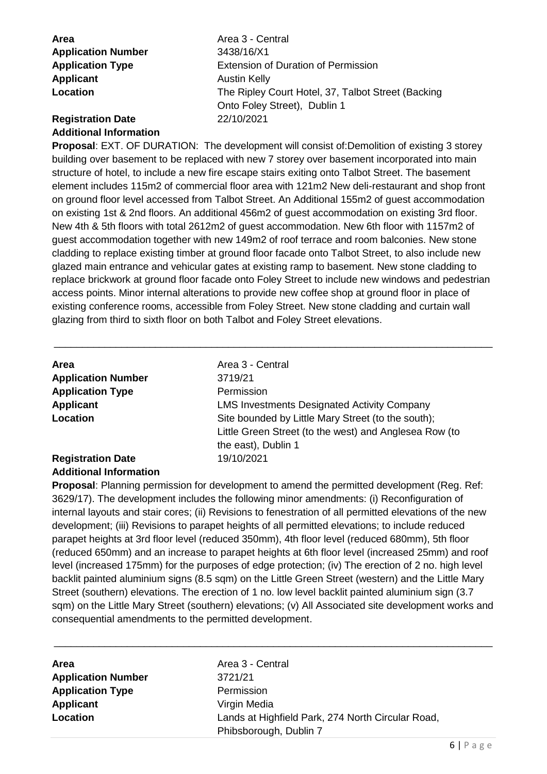| Area                      |  |
|---------------------------|--|
| <b>Application Number</b> |  |
| <b>Application Type</b>   |  |
| <b>Applicant</b>          |  |
| Location                  |  |

**Area** Area 3 - Central **Application Number** 3438/16/X1 **Extension of Duration of Permission Austin Kelly** The Ripley Court Hotel, 37, Talbot Street (Backing Onto Foley Street), Dublin 1

### **Registration Date** 22/10/2021 **Additional Information**

**Proposal: EXT. OF DURATION: The development will consist of:Demolition of existing 3 storey** building over basement to be replaced with new 7 storey over basement incorporated into main structure of hotel, to include a new fire escape stairs exiting onto Talbot Street. The basement element includes 115m2 of commercial floor area with 121m2 New deli-restaurant and shop front on ground floor level accessed from Talbot Street. An Additional 155m2 of guest accommodation on existing 1st & 2nd floors. An additional 456m2 of guest accommodation on existing 3rd floor. New 4th & 5th floors with total 2612m2 of guest accommodation. New 6th floor with 1157m2 of guest accommodation together with new 149m2 of roof terrace and room balconies. New stone cladding to replace existing timber at ground floor facade onto Talbot Street, to also include new glazed main entrance and vehicular gates at existing ramp to basement. New stone cladding to replace brickwork at ground floor facade onto Foley Street to include new windows and pedestrian access points. Minor internal alterations to provide new coffee shop at ground floor in place of existing conference rooms, accessible from Foley Street. New stone cladding and curtain wall glazing from third to sixth floor on both Talbot and Foley Street elevations.

\_\_\_\_\_\_\_\_\_\_\_\_\_\_\_\_\_\_\_\_\_\_\_\_\_\_\_\_\_\_\_\_\_\_\_\_\_\_\_\_\_\_\_\_\_\_\_\_\_\_\_\_\_\_\_\_\_\_\_\_\_\_\_\_\_\_\_\_\_\_\_\_\_\_\_\_\_\_

| <b>Area</b><br><b>Application Number</b><br><b>Application Type</b><br><b>Applicant</b><br>Location | Area 3 - Central<br>3719/21<br>Permission<br><b>LMS Investments Designated Activity Company</b><br>Site bounded by Little Mary Street (to the south);<br>Little Green Street (to the west) and Anglesea Row (to |
|-----------------------------------------------------------------------------------------------------|-----------------------------------------------------------------------------------------------------------------------------------------------------------------------------------------------------------------|
| <b>Registration Date</b>                                                                            | the east), Dublin 1<br>19/10/2021                                                                                                                                                                               |
|                                                                                                     |                                                                                                                                                                                                                 |

# **Additional Information**

**Proposal**: Planning permission for development to amend the permitted development (Reg. Ref: 3629/17). The development includes the following minor amendments: (i) Reconfiguration of internal layouts and stair cores; (ii) Revisions to fenestration of all permitted elevations of the new development; (iii) Revisions to parapet heights of all permitted elevations; to include reduced parapet heights at 3rd floor level (reduced 350mm), 4th floor level (reduced 680mm), 5th floor (reduced 650mm) and an increase to parapet heights at 6th floor level (increased 25mm) and roof level (increased 175mm) for the purposes of edge protection; (iv) The erection of 2 no. high level backlit painted aluminium signs (8.5 sqm) on the Little Green Street (western) and the Little Mary Street (southern) elevations. The erection of 1 no. low level backlit painted aluminium sign (3.7 sqm) on the Little Mary Street (southern) elevations; (v) All Associated site development works and consequential amendments to the permitted development.

| <b>Area</b>               | Area 3 - Central                                  |
|---------------------------|---------------------------------------------------|
| <b>Application Number</b> | 3721/21                                           |
| <b>Application Type</b>   | Permission                                        |
| <b>Applicant</b>          | Virgin Media                                      |
| Location                  | Lands at Highfield Park, 274 North Circular Road, |
|                           | Phibsborough, Dublin 7                            |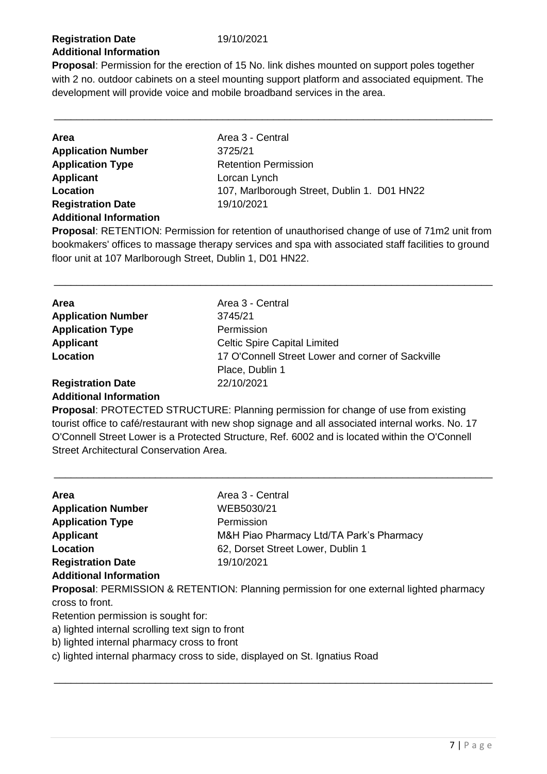## **Registration Date** 19/10/2021 **Additional Information**

**Proposal**: Permission for the erection of 15 No. link dishes mounted on support poles together with 2 no. outdoor cabinets on a steel mounting support platform and associated equipment. The development will provide voice and mobile broadband services in the area.

\_\_\_\_\_\_\_\_\_\_\_\_\_\_\_\_\_\_\_\_\_\_\_\_\_\_\_\_\_\_\_\_\_\_\_\_\_\_\_\_\_\_\_\_\_\_\_\_\_\_\_\_\_\_\_\_\_\_\_\_\_\_\_\_\_\_\_\_\_\_\_\_\_\_\_\_\_\_

| Area                          | Area 3 - Central                            |
|-------------------------------|---------------------------------------------|
| <b>Application Number</b>     | 3725/21                                     |
| <b>Application Type</b>       | <b>Retention Permission</b>                 |
| <b>Applicant</b>              | Lorcan Lynch                                |
| Location                      | 107, Marlborough Street, Dublin 1. D01 HN22 |
| <b>Registration Date</b>      | 19/10/2021                                  |
| <b>Additional Information</b> |                                             |

**Proposal**: RETENTION: Permission for retention of unauthorised change of use of 71m2 unit from bookmakers' offices to massage therapy services and spa with associated staff facilities to ground floor unit at 107 Marlborough Street, Dublin 1, D01 HN22.

\_\_\_\_\_\_\_\_\_\_\_\_\_\_\_\_\_\_\_\_\_\_\_\_\_\_\_\_\_\_\_\_\_\_\_\_\_\_\_\_\_\_\_\_\_\_\_\_\_\_\_\_\_\_\_\_\_\_\_\_\_\_\_\_\_\_\_\_\_\_\_\_\_\_\_\_\_\_

| <b>Area</b>               | Area 3 - Central                                  |
|---------------------------|---------------------------------------------------|
| <b>Application Number</b> | 3745/21                                           |
| <b>Application Type</b>   | Permission                                        |
| Applicant                 | <b>Celtic Spire Capital Limited</b>               |
| Location                  | 17 O'Connell Street Lower and corner of Sackville |
|                           | Place, Dublin 1                                   |
| <b>Registration Date</b>  | 22/10/2021                                        |
|                           |                                                   |

#### **Additional Information**

**Proposal**: PROTECTED STRUCTURE: Planning permission for change of use from existing tourist office to café/restaurant with new shop signage and all associated internal works. No. 17 O'Connell Street Lower is a Protected Structure, Ref. 6002 and is located within the O'Connell Street Architectural Conservation Area.

\_\_\_\_\_\_\_\_\_\_\_\_\_\_\_\_\_\_\_\_\_\_\_\_\_\_\_\_\_\_\_\_\_\_\_\_\_\_\_\_\_\_\_\_\_\_\_\_\_\_\_\_\_\_\_\_\_\_\_\_\_\_\_\_\_\_\_\_\_\_\_\_\_\_\_\_\_\_

| Area                                                                                    | Area 3 - Central                         |  |
|-----------------------------------------------------------------------------------------|------------------------------------------|--|
| <b>Application Number</b>                                                               | WEB5030/21                               |  |
| <b>Application Type</b>                                                                 | Permission                               |  |
| <b>Applicant</b>                                                                        | M&H Piao Pharmacy Ltd/TA Park's Pharmacy |  |
| Location                                                                                | 62, Dorset Street Lower, Dublin 1        |  |
| <b>Registration Date</b>                                                                | 19/10/2021                               |  |
| <b>Additional Information</b>                                                           |                                          |  |
| Proposal: PERMISSION & RETENTION: Planning permission for one external lighted pharmacy |                                          |  |
| cross to front.                                                                         |                                          |  |
| Retention permission is sought for:                                                     |                                          |  |
| a) lighted internal scrolling text sign to front                                        |                                          |  |
| b) lighted internal pharmacy cross to front                                             |                                          |  |
| c) lighted internal pharmacy cross to side, displayed on St. Ignatius Road              |                                          |  |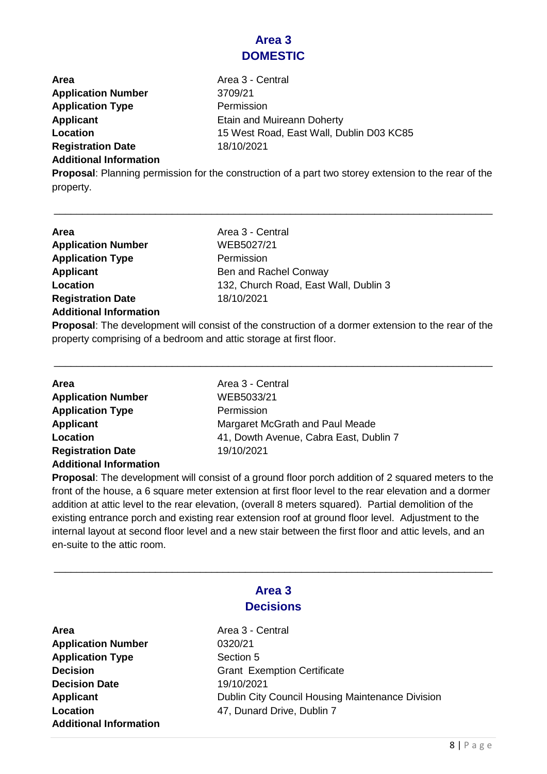# **Area 3 DOMESTIC**

**Area Area 3 - Central Application Number** 3709/21 **Application Type Permission Applicant Applicant Etain and Muireann Doherty Location** 15 West Road, East Wall, Dublin D03 KC85 **Registration Date** 18/10/2021

#### **Additional Information**

**Proposal**: Planning permission for the construction of a part two storey extension to the rear of the property.

\_\_\_\_\_\_\_\_\_\_\_\_\_\_\_\_\_\_\_\_\_\_\_\_\_\_\_\_\_\_\_\_\_\_\_\_\_\_\_\_\_\_\_\_\_\_\_\_\_\_\_\_\_\_\_\_\_\_\_\_\_\_\_\_\_\_\_\_\_\_\_\_\_\_\_\_\_\_

| Area                          | Area 3 - Central                      |
|-------------------------------|---------------------------------------|
| <b>Application Number</b>     | WEB5027/21                            |
| <b>Application Type</b>       | Permission                            |
| <b>Applicant</b>              | Ben and Rachel Conway                 |
| Location                      | 132, Church Road, East Wall, Dublin 3 |
| <b>Registration Date</b>      | 18/10/2021                            |
| <b>Additional Information</b> |                                       |
|                               |                                       |

**Proposal**: The development will consist of the construction of a dormer extension to the rear of the property comprising of a bedroom and attic storage at first floor.

\_\_\_\_\_\_\_\_\_\_\_\_\_\_\_\_\_\_\_\_\_\_\_\_\_\_\_\_\_\_\_\_\_\_\_\_\_\_\_\_\_\_\_\_\_\_\_\_\_\_\_\_\_\_\_\_\_\_\_\_\_\_\_\_\_\_\_\_\_\_\_\_\_\_\_\_\_\_

| <b>Area</b>                   | Area 3 - Central                       |
|-------------------------------|----------------------------------------|
| <b>Application Number</b>     | WEB5033/21                             |
| <b>Application Type</b>       | Permission                             |
| Applicant                     | Margaret McGrath and Paul Meade        |
| Location                      | 41, Dowth Avenue, Cabra East, Dublin 7 |
| <b>Registration Date</b>      | 19/10/2021                             |
| <b>Additional Information</b> |                                        |

**Proposal**: The development will consist of a ground floor porch addition of 2 squared meters to the front of the house, a 6 square meter extension at first floor level to the rear elevation and a dormer addition at attic level to the rear elevation, (overall 8 meters squared). Partial demolition of the existing entrance porch and existing rear extension roof at ground floor level. Adjustment to the internal layout at second floor level and a new stair between the first floor and attic levels, and an en-suite to the attic room.

| Area 3<br><b>Decisions</b>    |                                                  |
|-------------------------------|--------------------------------------------------|
|                               |                                                  |
| <b>Application Number</b>     | 0320/21                                          |
| <b>Application Type</b>       | Section 5                                        |
| <b>Decision</b>               | <b>Grant Exemption Certificate</b>               |
| <b>Decision Date</b>          | 19/10/2021                                       |
| <b>Applicant</b>              | Dublin City Council Housing Maintenance Division |
| Location                      | 47, Dunard Drive, Dublin 7                       |
| <b>Additional Information</b> |                                                  |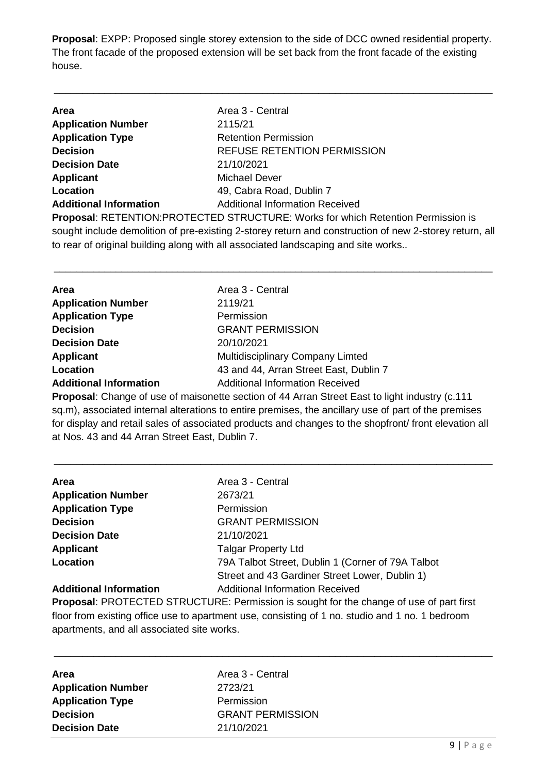**Proposal**: EXPP: Proposed single storey extension to the side of DCC owned residential property. The front facade of the proposed extension will be set back from the front facade of the existing house.

\_\_\_\_\_\_\_\_\_\_\_\_\_\_\_\_\_\_\_\_\_\_\_\_\_\_\_\_\_\_\_\_\_\_\_\_\_\_\_\_\_\_\_\_\_\_\_\_\_\_\_\_\_\_\_\_\_\_\_\_\_\_\_\_\_\_\_\_\_\_\_\_\_\_\_\_\_\_

| <b>Area</b>                                                                                            | Area 3 - Central                       |  |
|--------------------------------------------------------------------------------------------------------|----------------------------------------|--|
| <b>Application Number</b>                                                                              | 2115/21                                |  |
| <b>Application Type</b>                                                                                | <b>Retention Permission</b>            |  |
| <b>Decision</b>                                                                                        | <b>REFUSE RETENTION PERMISSION</b>     |  |
| <b>Decision Date</b>                                                                                   | 21/10/2021                             |  |
| <b>Applicant</b>                                                                                       | <b>Michael Dever</b>                   |  |
| Location                                                                                               | 49, Cabra Road, Dublin 7               |  |
| <b>Additional Information</b>                                                                          | <b>Additional Information Received</b> |  |
| <b>Proposal: RETENTION:PROTECTED STRUCTURE: Works for which Retention Permission is</b>                |                                        |  |
| sought include demolition of pre-existing 2-storey return and construction of new 2-storey return, all |                                        |  |
| to rear of original building along with all associated landscaping and site works                      |                                        |  |
|                                                                                                        |                                        |  |

| <b>Area</b>                   | Area 3 - Central                        |
|-------------------------------|-----------------------------------------|
| <b>Application Number</b>     | 2119/21                                 |
| <b>Application Type</b>       | Permission                              |
| <b>Decision</b>               | <b>GRANT PERMISSION</b>                 |
| <b>Decision Date</b>          | 20/10/2021                              |
| <b>Applicant</b>              | <b>Multidisciplinary Company Limted</b> |
| Location                      | 43 and 44, Arran Street East, Dublin 7  |
| <b>Additional Information</b> | <b>Additional Information Received</b>  |

\_\_\_\_\_\_\_\_\_\_\_\_\_\_\_\_\_\_\_\_\_\_\_\_\_\_\_\_\_\_\_\_\_\_\_\_\_\_\_\_\_\_\_\_\_\_\_\_\_\_\_\_\_\_\_\_\_\_\_\_\_\_\_\_\_\_\_\_\_\_\_\_\_\_\_\_\_\_

**Proposal**: Change of use of maisonette section of 44 Arran Street East to light industry (c.111 sq.m), associated internal alterations to entire premises, the ancillary use of part of the premises for display and retail sales of associated products and changes to the shopfront/ front elevation all at Nos. 43 and 44 Arran Street East, Dublin 7.

\_\_\_\_\_\_\_\_\_\_\_\_\_\_\_\_\_\_\_\_\_\_\_\_\_\_\_\_\_\_\_\_\_\_\_\_\_\_\_\_\_\_\_\_\_\_\_\_\_\_\_\_\_\_\_\_\_\_\_\_\_\_\_\_\_\_\_\_\_\_\_\_\_\_\_\_\_\_

| <b>Area</b>                   | Area 3 - Central                                  |
|-------------------------------|---------------------------------------------------|
| <b>Application Number</b>     | 2673/21                                           |
| <b>Application Type</b>       | Permission                                        |
| <b>Decision</b>               | <b>GRANT PERMISSION</b>                           |
| <b>Decision Date</b>          | 21/10/2021                                        |
| Applicant                     | <b>Talgar Property Ltd</b>                        |
| Location                      | 79A Talbot Street, Dublin 1 (Corner of 79A Talbot |
|                               | Street and 43 Gardiner Street Lower, Dublin 1)    |
| <b>Additional Information</b> | <b>Additional Information Received</b>            |

**Proposal**: PROTECTED STRUCTURE: Permission is sought for the change of use of part first floor from existing office use to apartment use, consisting of 1 no. studio and 1 no. 1 bedroom apartments, and all associated site works.

| Area                      |
|---------------------------|
| <b>Application Number</b> |
| <b>Application Type</b>   |
| <b>Decision</b>           |
| <b>Decision Date</b>      |

Area 3 - Central **Application Number** 2723/21 **Permission Decision** GRANT PERMISSION **Decision Date** 21/10/2021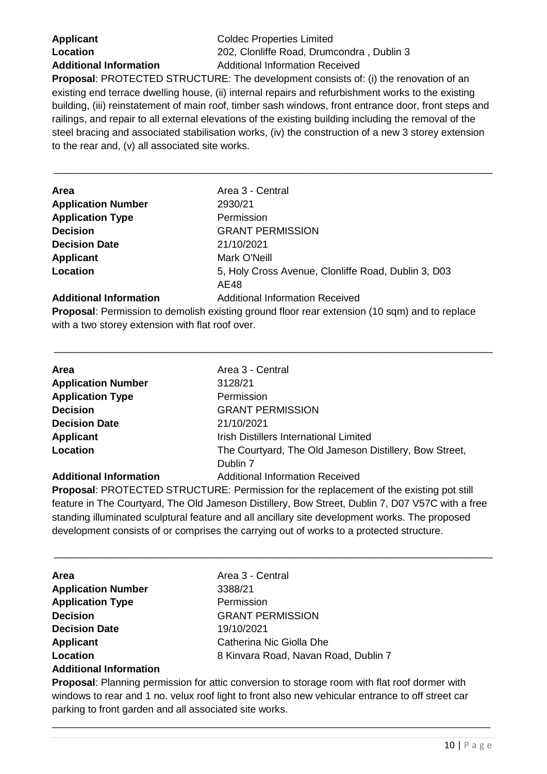**Applicant** Coldec Properties Limited **Location** 202, Clonliffe Road, Drumcondra , Dublin 3 **Additional Information** Additional Information Received

**Proposal**: PROTECTED STRUCTURE: The development consists of: (i) the renovation of an existing end terrace dwelling house, (ii) internal repairs and refurbishment works to the existing building, (iii) reinstatement of main roof, timber sash windows, front entrance door, front steps and railings, and repair to all external elevations of the existing building including the removal of the steel bracing and associated stabilisation works, (iv) the construction of a new 3 storey extension to the rear and, (v) all associated site works.

\_\_\_\_\_\_\_\_\_\_\_\_\_\_\_\_\_\_\_\_\_\_\_\_\_\_\_\_\_\_\_\_\_\_\_\_\_\_\_\_\_\_\_\_\_\_\_\_\_\_\_\_\_\_\_\_\_\_\_\_\_\_\_\_\_\_\_\_\_\_\_\_\_\_\_\_\_\_

| <b>Area</b>                   | Area 3 - Central                                            |
|-------------------------------|-------------------------------------------------------------|
| <b>Application Number</b>     | 2930/21                                                     |
| <b>Application Type</b>       | Permission                                                  |
| <b>Decision</b>               | <b>GRANT PERMISSION</b>                                     |
| <b>Decision Date</b>          | 21/10/2021                                                  |
| <b>Applicant</b>              | Mark O'Neill                                                |
| Location                      | 5, Holy Cross Avenue, Clonliffe Road, Dublin 3, D03<br>AE48 |
| <b>Additional Information</b> | <b>Additional Information Received</b>                      |

**Proposal**: Permission to demolish existing ground floor rear extension (10 sqm) and to replace with a two storey extension with flat roof over.

\_\_\_\_\_\_\_\_\_\_\_\_\_\_\_\_\_\_\_\_\_\_\_\_\_\_\_\_\_\_\_\_\_\_\_\_\_\_\_\_\_\_\_\_\_\_\_\_\_\_\_\_\_\_\_\_\_\_\_\_\_\_\_\_\_\_\_\_\_\_\_\_\_\_\_\_\_\_

| Area                      | Area 3 - Central                                       |
|---------------------------|--------------------------------------------------------|
| <b>Application Number</b> | 3128/21                                                |
| <b>Application Type</b>   | Permission                                             |
| <b>Decision</b>           | <b>GRANT PERMISSION</b>                                |
| <b>Decision Date</b>      | 21/10/2021                                             |
| Applicant                 | <b>Irish Distillers International Limited</b>          |
| Location                  | The Courtyard, The Old Jameson Distillery, Bow Street, |
|                           | Dublin 7                                               |
|                           | $\blacksquare$                                         |

#### **Additional Information** Additional Information Received

**Proposal**: PROTECTED STRUCTURE: Permission for the replacement of the existing pot still feature in The Courtyard, The Old Jameson Distillery, Bow Street, Dublin 7, D07 V57C with a free standing illuminated sculptural feature and all ancillary site development works. The proposed development consists of or comprises the carrying out of works to a protected structure.

\_\_\_\_\_\_\_\_\_\_\_\_\_\_\_\_\_\_\_\_\_\_\_\_\_\_\_\_\_\_\_\_\_\_\_\_\_\_\_\_\_\_\_\_\_\_\_\_\_\_\_\_\_\_\_\_\_\_\_\_\_\_\_\_\_\_\_\_\_\_\_\_\_\_\_\_\_\_

| Area                          | Area 3 - Central                     |
|-------------------------------|--------------------------------------|
| <b>Application Number</b>     | 3388/21                              |
| <b>Application Type</b>       | Permission                           |
| <b>Decision</b>               | <b>GRANT PERMISSION</b>              |
| <b>Decision Date</b>          | 19/10/2021                           |
| <b>Applicant</b>              | Catherina Nic Giolla Dhe             |
| Location                      | 8 Kinvara Road, Navan Road, Dublin 7 |
| <b>Additional Information</b> |                                      |

**Proposal**: Planning permission for attic conversion to storage room with flat roof dormer with windows to rear and 1 no. velux roof light to front also new vehicular entrance to off street car parking to front garden and all associated site works.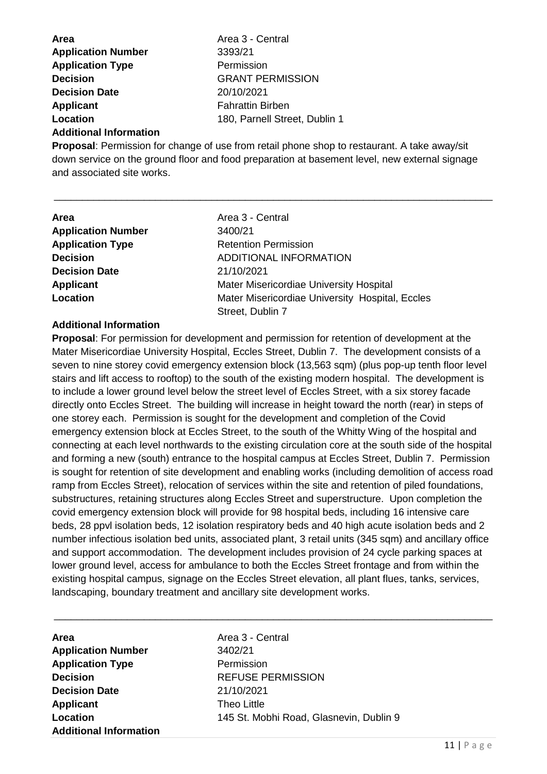| <b>Area</b>               | Area 3 - Central              |
|---------------------------|-------------------------------|
| <b>Application Number</b> | 3393/21                       |
| <b>Application Type</b>   | Permission                    |
| <b>Decision</b>           | <b>GRANT PERMISSION</b>       |
| <b>Decision Date</b>      | 20/10/2021                    |
| <b>Applicant</b>          | <b>Fahrattin Birben</b>       |
| Location                  | 180, Parnell Street, Dublin 1 |
|                           |                               |

#### **Additional Information**

**Proposal**: Permission for change of use from retail phone shop to restaurant. A take away/sit down service on the ground floor and food preparation at basement level, new external signage and associated site works.

\_\_\_\_\_\_\_\_\_\_\_\_\_\_\_\_\_\_\_\_\_\_\_\_\_\_\_\_\_\_\_\_\_\_\_\_\_\_\_\_\_\_\_\_\_\_\_\_\_\_\_\_\_\_\_\_\_\_\_\_\_\_\_\_\_\_\_\_\_\_\_\_\_\_\_\_\_\_

| <b>Area</b>               | Area 3 - Central                                |
|---------------------------|-------------------------------------------------|
| <b>Application Number</b> | 3400/21                                         |
| <b>Application Type</b>   | <b>Retention Permission</b>                     |
| <b>Decision</b>           | <b>ADDITIONAL INFORMATION</b>                   |
| <b>Decision Date</b>      | 21/10/2021                                      |
| <b>Applicant</b>          | Mater Misericordiae University Hospital         |
| Location                  | Mater Misericordiae University Hospital, Eccles |
|                           | Street, Dublin 7                                |

#### **Additional Information**

**Proposal**: For permission for development and permission for retention of development at the Mater Misericordiae University Hospital, Eccles Street, Dublin 7. The development consists of a seven to nine storey covid emergency extension block (13,563 sqm) (plus pop-up tenth floor level stairs and lift access to rooftop) to the south of the existing modern hospital. The development is to include a lower ground level below the street level of Eccles Street, with a six storey facade directly onto Eccles Street. The building will increase in height toward the north (rear) in steps of one storey each. Permission is sought for the development and completion of the Covid emergency extension block at Eccles Street, to the south of the Whitty Wing of the hospital and connecting at each level northwards to the existing circulation core at the south side of the hospital and forming a new (south) entrance to the hospital campus at Eccles Street, Dublin 7. Permission is sought for retention of site development and enabling works (including demolition of access road ramp from Eccles Street), relocation of services within the site and retention of piled foundations, substructures, retaining structures along Eccles Street and superstructure. Upon completion the covid emergency extension block will provide for 98 hospital beds, including 16 intensive care beds, 28 ppvl isolation beds, 12 isolation respiratory beds and 40 high acute isolation beds and 2 number infectious isolation bed units, associated plant, 3 retail units (345 sqm) and ancillary office and support accommodation. The development includes provision of 24 cycle parking spaces at lower ground level, access for ambulance to both the Eccles Street frontage and from within the existing hospital campus, signage on the Eccles Street elevation, all plant flues, tanks, services, landscaping, boundary treatment and ancillary site development works.

\_\_\_\_\_\_\_\_\_\_\_\_\_\_\_\_\_\_\_\_\_\_\_\_\_\_\_\_\_\_\_\_\_\_\_\_\_\_\_\_\_\_\_\_\_\_\_\_\_\_\_\_\_\_\_\_\_\_\_\_\_\_\_\_\_\_\_\_\_\_\_\_\_\_\_\_\_\_

**Area** Area 3 - Central **Application Number** 3402/21 **Application Type** Permission **Decision Date** 21/10/2021 **Applicant** Theo Little **Additional Information**

**Decision** REFUSE PERMISSION **Location** 145 St. Mobhi Road, Glasnevin, Dublin 9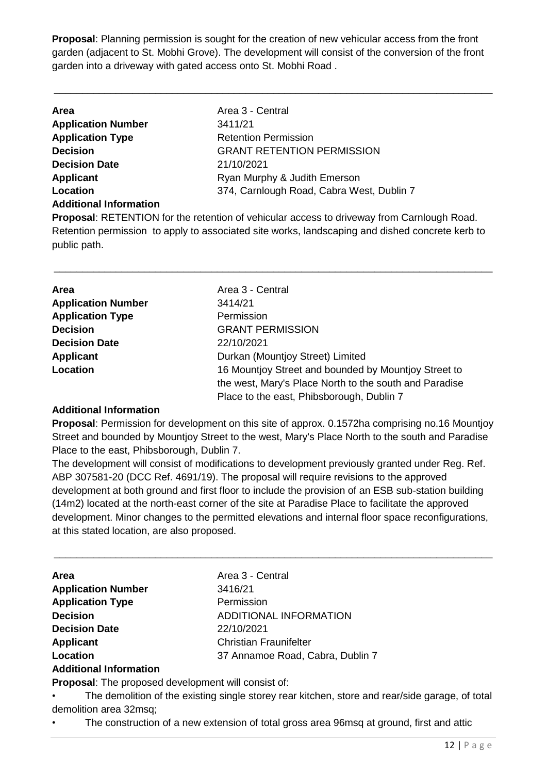**Proposal**: Planning permission is sought for the creation of new vehicular access from the front garden (adjacent to St. Mobhi Grove). The development will consist of the conversion of the front garden into a driveway with gated access onto St. Mobhi Road .

\_\_\_\_\_\_\_\_\_\_\_\_\_\_\_\_\_\_\_\_\_\_\_\_\_\_\_\_\_\_\_\_\_\_\_\_\_\_\_\_\_\_\_\_\_\_\_\_\_\_\_\_\_\_\_\_\_\_\_\_\_\_\_\_\_\_\_\_\_\_\_\_\_\_\_\_\_\_

| <b>Area</b>                   | Area 3 - Central                          |
|-------------------------------|-------------------------------------------|
| <b>Application Number</b>     | 3411/21                                   |
| <b>Application Type</b>       | <b>Retention Permission</b>               |
| <b>Decision</b>               | <b>GRANT RETENTION PERMISSION</b>         |
| <b>Decision Date</b>          | 21/10/2021                                |
| Applicant                     | Ryan Murphy & Judith Emerson              |
| Location                      | 374, Carnlough Road, Cabra West, Dublin 7 |
| <b>Additional Information</b> |                                           |

**Proposal**: RETENTION for the retention of vehicular access to driveway from Carnlough Road. Retention permission to apply to associated site works, landscaping and dished concrete kerb to public path.

\_\_\_\_\_\_\_\_\_\_\_\_\_\_\_\_\_\_\_\_\_\_\_\_\_\_\_\_\_\_\_\_\_\_\_\_\_\_\_\_\_\_\_\_\_\_\_\_\_\_\_\_\_\_\_\_\_\_\_\_\_\_\_\_\_\_\_\_\_\_\_\_\_\_\_\_\_\_

| Area                      | Area 3 - Central                                       |
|---------------------------|--------------------------------------------------------|
| <b>Application Number</b> | 3414/21                                                |
| <b>Application Type</b>   | Permission                                             |
| <b>Decision</b>           | <b>GRANT PERMISSION</b>                                |
| <b>Decision Date</b>      | 22/10/2021                                             |
| <b>Applicant</b>          | Durkan (Mountjoy Street) Limited                       |
| Location                  | 16 Mountjoy Street and bounded by Mountjoy Street to   |
|                           | the west, Mary's Place North to the south and Paradise |
|                           | Place to the east, Phibsborough, Dublin 7              |

#### **Additional Information**

**Proposal**: Permission for development on this site of approx. 0.1572ha comprising no.16 Mountjoy Street and bounded by Mountjoy Street to the west, Mary's Place North to the south and Paradise Place to the east, Phibsborough, Dublin 7.

The development will consist of modifications to development previously granted under Reg. Ref. ABP 307581-20 (DCC Ref. 4691/19). The proposal will require revisions to the approved development at both ground and first floor to include the provision of an ESB sub-station building (14m2) located at the north-east corner of the site at Paradise Place to facilitate the approved development. Minor changes to the permitted elevations and internal floor space reconfigurations, at this stated location, are also proposed.

\_\_\_\_\_\_\_\_\_\_\_\_\_\_\_\_\_\_\_\_\_\_\_\_\_\_\_\_\_\_\_\_\_\_\_\_\_\_\_\_\_\_\_\_\_\_\_\_\_\_\_\_\_\_\_\_\_\_\_\_\_\_\_\_\_\_\_\_\_\_\_\_\_\_\_\_\_\_

| <b>Area</b>                            | Area 3 - Central                 |
|----------------------------------------|----------------------------------|
| <b>Application Number</b>              | 3416/21                          |
| <b>Application Type</b>                | Permission                       |
| <b>Decision</b>                        | <b>ADDITIONAL INFORMATION</b>    |
| <b>Decision Date</b>                   | 22/10/2021                       |
| Applicant                              | <b>Christian Fraunifelter</b>    |
| Location                               | 37 Annamoe Road, Cabra, Dublin 7 |
| . A child between the former of the co |                                  |

#### **Additional Information**

**Proposal**: The proposed development will consist of:

The demolition of the existing single storey rear kitchen, store and rear/side garage, of total demolition area 32msq;

• The construction of a new extension of total gross area 96msq at ground, first and attic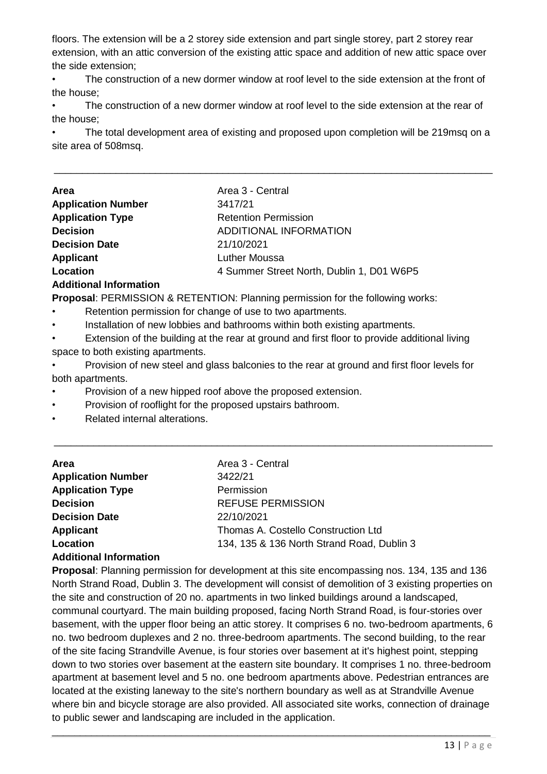floors. The extension will be a 2 storey side extension and part single storey, part 2 storey rear extension, with an attic conversion of the existing attic space and addition of new attic space over the side extension;

• The construction of a new dormer window at roof level to the side extension at the front of the house;

The construction of a new dormer window at roof level to the side extension at the rear of the house;

• The total development area of existing and proposed upon completion will be 219msq on a site area of 508msq.

\_\_\_\_\_\_\_\_\_\_\_\_\_\_\_\_\_\_\_\_\_\_\_\_\_\_\_\_\_\_\_\_\_\_\_\_\_\_\_\_\_\_\_\_\_\_\_\_\_\_\_\_\_\_\_\_\_\_\_\_\_\_\_\_\_\_\_\_\_\_\_\_\_\_\_\_\_\_

| <b>Area</b>               | Area 3 - Central                          |
|---------------------------|-------------------------------------------|
| <b>Application Number</b> | 3417/21                                   |
| <b>Application Type</b>   | <b>Retention Permission</b>               |
| <b>Decision</b>           | ADDITIONAL INFORMATION                    |
| <b>Decision Date</b>      | 21/10/2021                                |
| <b>Applicant</b>          | <b>Luther Moussa</b>                      |
| Location                  | 4 Summer Street North, Dublin 1, D01 W6P5 |
| Additional Information    |                                           |

#### **Additional Information**

**Proposal**: PERMISSION & RETENTION: Planning permission for the following works:

- Retention permission for change of use to two apartments.
- Installation of new lobbies and bathrooms within both existing apartments.

• Extension of the building at the rear at ground and first floor to provide additional living space to both existing apartments.

• Provision of new steel and glass balconies to the rear at ground and first floor levels for both apartments.

\_\_\_\_\_\_\_\_\_\_\_\_\_\_\_\_\_\_\_\_\_\_\_\_\_\_\_\_\_\_\_\_\_\_\_\_\_\_\_\_\_\_\_\_\_\_\_\_\_\_\_\_\_\_\_\_\_\_\_\_\_\_\_\_\_\_\_\_\_\_\_\_\_\_\_\_\_\_

- Provision of a new hipped roof above the proposed extension.
- Provision of rooflight for the proposed upstairs bathroom.
- Related internal alterations.

| <b>Area</b>                      | Area 3 - Central                           |
|----------------------------------|--------------------------------------------|
| <b>Application Number</b>        | 3422/21                                    |
| <b>Application Type</b>          | Permission                                 |
| <b>Decision</b>                  | <b>REFUSE PERMISSION</b>                   |
| <b>Decision Date</b>             | 22/10/2021                                 |
| Applicant                        | Thomas A. Costello Construction Ltd        |
| Location                         | 134, 135 & 136 North Strand Road, Dublin 3 |
| Ashaliti a machina fa macantha m |                                            |

#### **Additional Information**

**Proposal**: Planning permission for development at this site encompassing nos. 134, 135 and 136 North Strand Road, Dublin 3. The development will consist of demolition of 3 existing properties on the site and construction of 20 no. apartments in two linked buildings around a landscaped, communal courtyard. The main building proposed, facing North Strand Road, is four-stories over basement, with the upper floor being an attic storey. It comprises 6 no. two-bedroom apartments, 6 no. two bedroom duplexes and 2 no. three-bedroom apartments. The second building, to the rear of the site facing Strandville Avenue, is four stories over basement at it's highest point, stepping down to two stories over basement at the eastern site boundary. It comprises 1 no. three-bedroom apartment at basement level and 5 no. one bedroom apartments above. Pedestrian entrances are located at the existing laneway to the site's northern boundary as well as at Strandville Avenue where bin and bicycle storage are also provided. All associated site works, connection of drainage to public sewer and landscaping are included in the application.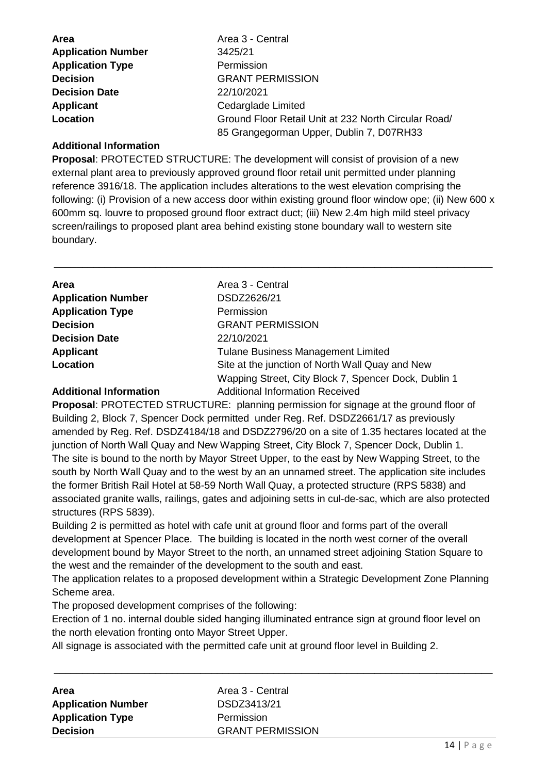| <b>Area</b>               | Area 3 - Central                                     |
|---------------------------|------------------------------------------------------|
| <b>Application Number</b> | 3425/21                                              |
| <b>Application Type</b>   | Permission                                           |
| <b>Decision</b>           | <b>GRANT PERMISSION</b>                              |
| <b>Decision Date</b>      | 22/10/2021                                           |
| Applicant                 | Cedarglade Limited                                   |
| Location                  | Ground Floor Retail Unit at 232 North Circular Road/ |
|                           | 85 Grangegorman Upper, Dublin 7, D07RH33             |

#### **Additional Information**

**Proposal**: PROTECTED STRUCTURE: The development will consist of provision of a new external plant area to previously approved ground floor retail unit permitted under planning reference 3916/18. The application includes alterations to the west elevation comprising the following: (i) Provision of a new access door within existing ground floor window ope; (ii) New 600 x 600mm sq. louvre to proposed ground floor extract duct; (iii) New 2.4m high mild steel privacy screen/railings to proposed plant area behind existing stone boundary wall to western site boundary.

\_\_\_\_\_\_\_\_\_\_\_\_\_\_\_\_\_\_\_\_\_\_\_\_\_\_\_\_\_\_\_\_\_\_\_\_\_\_\_\_\_\_\_\_\_\_\_\_\_\_\_\_\_\_\_\_\_\_\_\_\_\_\_\_\_\_\_\_\_\_\_\_\_\_\_\_\_\_

| Area                          | Area 3 - Central                                     |
|-------------------------------|------------------------------------------------------|
| <b>Application Number</b>     | DSDZ2626/21                                          |
| <b>Application Type</b>       | Permission                                           |
| <b>Decision</b>               | <b>GRANT PERMISSION</b>                              |
| <b>Decision Date</b>          | 22/10/2021                                           |
| <b>Applicant</b>              | <b>Tulane Business Management Limited</b>            |
| Location                      | Site at the junction of North Wall Quay and New      |
|                               | Wapping Street, City Block 7, Spencer Dock, Dublin 1 |
| <b>Additional Information</b> | <b>Additional Information Received</b>               |

**Proposal**: PROTECTED STRUCTURE: planning permission for signage at the ground floor of Building 2, Block 7, Spencer Dock permitted under Reg. Ref. DSDZ2661/17 as previously amended by Reg. Ref. DSDZ4184/18 and DSDZ2796/20 on a site of 1.35 hectares located at the junction of North Wall Quay and New Wapping Street, City Block 7, Spencer Dock, Dublin 1. The site is bound to the north by Mayor Street Upper, to the east by New Wapping Street, to the south by North Wall Quay and to the west by an an unnamed street. The application site includes the former British Rail Hotel at 58-59 North Wall Quay, a protected structure (RPS 5838) and associated granite walls, railings, gates and adjoining setts in cul-de-sac, which are also protected structures (RPS 5839).

Building 2 is permitted as hotel with cafe unit at ground floor and forms part of the overall development at Spencer Place. The building is located in the north west corner of the overall development bound by Mayor Street to the north, an unnamed street adioining Station Square to the west and the remainder of the development to the south and east.

The application relates to a proposed development within a Strategic Development Zone Planning Scheme area.

The proposed development comprises of the following:

Erection of 1 no. internal double sided hanging illuminated entrance sign at ground floor level on the north elevation fronting onto Mayor Street Upper.

All signage is associated with the permitted cafe unit at ground floor level in Building 2.

| Area                      | Area 3 - Central        |
|---------------------------|-------------------------|
| <b>Application Number</b> | DSDZ3413/21             |
| <b>Application Type</b>   | Permission              |
| <b>Decision</b>           | <b>GRANT PERMISSION</b> |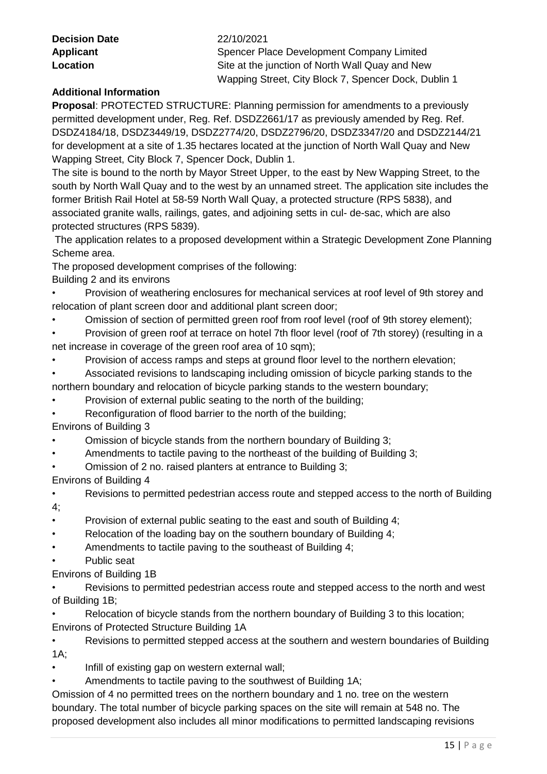| <b>Decision Date</b> |  |
|----------------------|--|
| <b>Applicant</b>     |  |
| Location             |  |

#### **Decision Date** 22/10/2021

**Spencer Place Development Company Limited** Site at the junction of North Wall Quay and New Wapping Street, City Block 7, Spencer Dock, Dublin 1

## **Additional Information**

**Proposal**: PROTECTED STRUCTURE: Planning permission for amendments to a previously permitted development under, Reg. Ref. DSDZ2661/17 as previously amended by Reg. Ref. DSDZ4184/18, DSDZ3449/19, DSDZ2774/20, DSDZ2796/20, DSDZ3347/20 and DSDZ2144/21 for development at a site of 1.35 hectares located at the junction of North Wall Quay and New Wapping Street, City Block 7, Spencer Dock, Dublin 1.

The site is bound to the north by Mayor Street Upper, to the east by New Wapping Street, to the south by North Wall Quay and to the west by an unnamed street. The application site includes the former British Rail Hotel at 58-59 North Wall Quay, a protected structure (RPS 5838), and associated granite walls, railings, gates, and adjoining setts in cul- de-sac, which are also protected structures (RPS 5839).

The application relates to a proposed development within a Strategic Development Zone Planning Scheme area.

The proposed development comprises of the following:

Building 2 and its environs

- Provision of weathering enclosures for mechanical services at roof level of 9th storey and relocation of plant screen door and additional plant screen door;
- Omission of section of permitted green roof from roof level (roof of 9th storey element);
- Provision of green roof at terrace on hotel 7th floor level (roof of 7th storey) (resulting in a net increase in coverage of the green roof area of 10 sqm);
- Provision of access ramps and steps at ground floor level to the northern elevation;
- Associated revisions to landscaping including omission of bicycle parking stands to the northern boundary and relocation of bicycle parking stands to the western boundary;
- Provision of external public seating to the north of the building;
- Reconfiguration of flood barrier to the north of the building;

Environs of Building 3

- Omission of bicycle stands from the northern boundary of Building 3;
- Amendments to tactile paving to the northeast of the building of Building 3;
- Omission of 2 no. raised planters at entrance to Building 3;

Environs of Building 4

• Revisions to permitted pedestrian access route and stepped access to the north of Building

4;

- Provision of external public seating to the east and south of Building 4;
- Relocation of the loading bay on the southern boundary of Building 4;
- Amendments to tactile paving to the southeast of Building 4;
- Public seat

Environs of Building 1B

Revisions to permitted pedestrian access route and stepped access to the north and west of Building 1B;

Relocation of bicycle stands from the northern boundary of Building 3 to this location; Environs of Protected Structure Building 1A

• Revisions to permitted stepped access at the southern and western boundaries of Building 1A;

- Infill of existing gap on western external wall;
- Amendments to tactile paving to the southwest of Building 1A;

Omission of 4 no permitted trees on the northern boundary and 1 no. tree on the western boundary. The total number of bicycle parking spaces on the site will remain at 548 no. The proposed development also includes all minor modifications to permitted landscaping revisions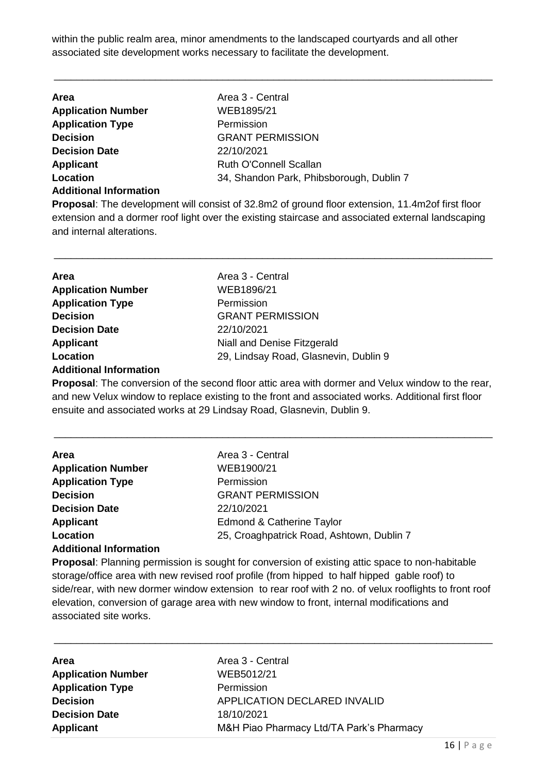within the public realm area, minor amendments to the landscaped courtyards and all other associated site development works necessary to facilitate the development.

\_\_\_\_\_\_\_\_\_\_\_\_\_\_\_\_\_\_\_\_\_\_\_\_\_\_\_\_\_\_\_\_\_\_\_\_\_\_\_\_\_\_\_\_\_\_\_\_\_\_\_\_\_\_\_\_\_\_\_\_\_\_\_\_\_\_\_\_\_\_\_\_\_\_\_\_\_\_

| <b>Area</b>                   | Area 3 - Central                         |
|-------------------------------|------------------------------------------|
| <b>Application Number</b>     | WEB1895/21                               |
| <b>Application Type</b>       | Permission                               |
| <b>Decision</b>               | <b>GRANT PERMISSION</b>                  |
| <b>Decision Date</b>          | 22/10/2021                               |
| <b>Applicant</b>              | Ruth O'Connell Scallan                   |
| Location                      | 34, Shandon Park, Phibsborough, Dublin 7 |
| <b>Additional Information</b> |                                          |

**Proposal**: The development will consist of 32.8m2 of ground floor extension, 11.4m2of first floor extension and a dormer roof light over the existing staircase and associated external landscaping and internal alterations.

\_\_\_\_\_\_\_\_\_\_\_\_\_\_\_\_\_\_\_\_\_\_\_\_\_\_\_\_\_\_\_\_\_\_\_\_\_\_\_\_\_\_\_\_\_\_\_\_\_\_\_\_\_\_\_\_\_\_\_\_\_\_\_\_\_\_\_\_\_\_\_\_\_\_\_\_\_\_

| Area                          | Area 3 - Central                      |
|-------------------------------|---------------------------------------|
| <b>Application Number</b>     | WEB1896/21                            |
| <b>Application Type</b>       | Permission                            |
| <b>Decision</b>               | <b>GRANT PERMISSION</b>               |
| <b>Decision Date</b>          | 22/10/2021                            |
| <b>Applicant</b>              | Niall and Denise Fitzgerald           |
| Location                      | 29, Lindsay Road, Glasnevin, Dublin 9 |
| <b>Additional Information</b> |                                       |

**Proposal**: The conversion of the second floor attic area with dormer and Velux window to the rear, and new Velux window to replace existing to the front and associated works. Additional first floor ensuite and associated works at 29 Lindsay Road, Glasnevin, Dublin 9.

# **Area Area** Area 3 - Central **Application Number** WEB1900/21 **Application Type** Permission **Decision** GRANT PERMISSION **Decision Date** 22/10/2021 **Applicant** Edmond & Catherine Taylor **Location** 25, Croaghpatrick Road, Ashtown, Dublin 7

### **Additional Information**

**Proposal**: Planning permission is sought for conversion of existing attic space to non-habitable storage/office area with new revised roof profile (from hipped to half hipped gable roof) to side/rear, with new dormer window extension to rear roof with 2 no. of velux rooflights to front roof elevation, conversion of garage area with new window to front, internal modifications and associated site works.

\_\_\_\_\_\_\_\_\_\_\_\_\_\_\_\_\_\_\_\_\_\_\_\_\_\_\_\_\_\_\_\_\_\_\_\_\_\_\_\_\_\_\_\_\_\_\_\_\_\_\_\_\_\_\_\_\_\_\_\_\_\_\_\_\_\_\_\_\_\_\_\_\_\_\_\_\_\_

| <b>Area</b>               | Area 3 - Central                         |
|---------------------------|------------------------------------------|
| <b>Application Number</b> | WEB5012/21                               |
| <b>Application Type</b>   | Permission                               |
| <b>Decision</b>           | APPLICATION DECLARED INVALID             |
| <b>Decision Date</b>      | 18/10/2021                               |
| <b>Applicant</b>          | M&H Piao Pharmacy Ltd/TA Park's Pharmacy |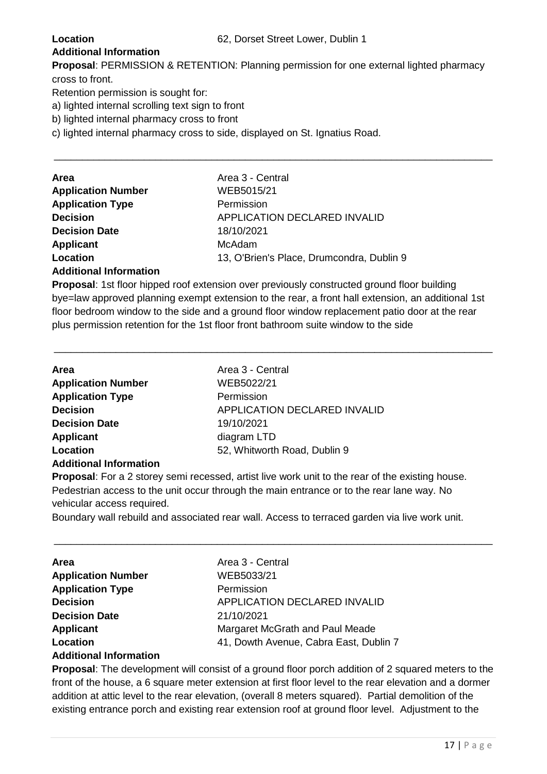#### **Additional Information**

**Proposal**: PERMISSION & RETENTION: Planning permission for one external lighted pharmacy cross to front.

\_\_\_\_\_\_\_\_\_\_\_\_\_\_\_\_\_\_\_\_\_\_\_\_\_\_\_\_\_\_\_\_\_\_\_\_\_\_\_\_\_\_\_\_\_\_\_\_\_\_\_\_\_\_\_\_\_\_\_\_\_\_\_\_\_\_\_\_\_\_\_\_\_\_\_\_\_\_

Retention permission is sought for:

a) lighted internal scrolling text sign to front

b) lighted internal pharmacy cross to front

c) lighted internal pharmacy cross to side, displayed on St. Ignatius Road.

| Area                      | Area 3 - Central                          |
|---------------------------|-------------------------------------------|
| <b>Application Number</b> | WEB5015/21                                |
| <b>Application Type</b>   | Permission                                |
| <b>Decision</b>           | <b>APPLICATION DECLARED INVALID</b>       |
| <b>Decision Date</b>      | 18/10/2021                                |
| Applicant                 | McAdam                                    |
| Location                  | 13, O'Brien's Place, Drumcondra, Dublin 9 |
|                           |                                           |

#### **Additional Information**

**Proposal**: 1st floor hipped roof extension over previously constructed ground floor building bye=law approved planning exempt extension to the rear, a front hall extension, an additional 1st floor bedroom window to the side and a ground floor window replacement patio door at the rear plus permission retention for the 1st floor front bathroom suite window to the side

\_\_\_\_\_\_\_\_\_\_\_\_\_\_\_\_\_\_\_\_\_\_\_\_\_\_\_\_\_\_\_\_\_\_\_\_\_\_\_\_\_\_\_\_\_\_\_\_\_\_\_\_\_\_\_\_\_\_\_\_\_\_\_\_\_\_\_\_\_\_\_\_\_\_\_\_\_\_

| <b>Area</b>                   | Area 3 - Central             |
|-------------------------------|------------------------------|
| <b>Application Number</b>     | WEB5022/21                   |
| <b>Application Type</b>       | Permission                   |
| <b>Decision</b>               | APPLICATION DECLARED INVALID |
| <b>Decision Date</b>          | 19/10/2021                   |
| <b>Applicant</b>              | diagram LTD                  |
| Location                      | 52, Whitworth Road, Dublin 9 |
| <b>Additional Information</b> |                              |

**Proposal**: For a 2 storey semi recessed, artist live work unit to the rear of the existing house. Pedestrian access to the unit occur through the main entrance or to the rear lane way. No vehicular access required.

Boundary wall rebuild and associated rear wall. Access to terraced garden via live work unit.

\_\_\_\_\_\_\_\_\_\_\_\_\_\_\_\_\_\_\_\_\_\_\_\_\_\_\_\_\_\_\_\_\_\_\_\_\_\_\_\_\_\_\_\_\_\_\_\_\_\_\_\_\_\_\_\_\_\_\_\_\_\_\_\_\_\_\_\_\_\_\_\_\_\_\_\_\_\_

| <b>Area</b>               | Area 3 - Central                       |
|---------------------------|----------------------------------------|
| <b>Application Number</b> | WEB5033/21                             |
| <b>Application Type</b>   | Permission                             |
| <b>Decision</b>           | APPLICATION DECLARED INVALID           |
| <b>Decision Date</b>      | 21/10/2021                             |
| <b>Applicant</b>          | Margaret McGrath and Paul Meade        |
| Location                  | 41, Dowth Avenue, Cabra East, Dublin 7 |
|                           |                                        |

#### **Additional Information**

**Proposal**: The development will consist of a ground floor porch addition of 2 squared meters to the front of the house, a 6 square meter extension at first floor level to the rear elevation and a dormer addition at attic level to the rear elevation, (overall 8 meters squared). Partial demolition of the existing entrance porch and existing rear extension roof at ground floor level. Adjustment to the